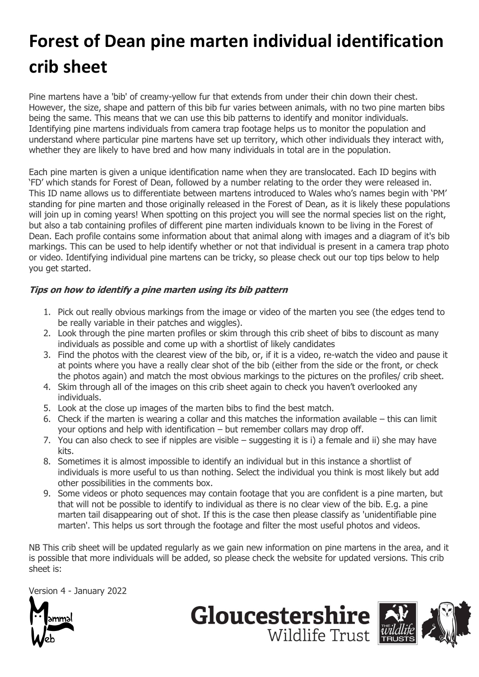## **Forest of Dean pine marten individual identification crib sheet**

Pine martens have a 'bib' of creamy-yellow fur that extends from under their chin down their chest. However, the size, shape and pattern of this bib fur varies between animals, with no two pine marten bibs being the same. This means that we can use this bib patterns to identify and monitor individuals. Identifying pine martens individuals from camera trap footage helps us to monitor the population and understand where particular pine martens have set up territory, which other individuals they interact with, whether they are likely to have bred and how many individuals in total are in the population.

Each pine marten is given a unique identification name when they are translocated. Each ID begins with 'FD' which stands for Forest of Dean, followed by a number relating to the order they were released in. This ID name allows us to differentiate between martens introduced to Wales who's names begin with 'PM' standing for pine marten and those originally released in the Forest of Dean, as it is likely these populations will join up in coming years! When spotting on this project you will see the normal species list on the right, but also a tab containing profiles of different pine marten individuals known to be living in the Forest of Dean. Each profile contains some information about that animal along with images and a diagram of it's bib markings. This can be used to help identify whether or not that individual is present in a camera trap photo or video. Identifying individual pine martens can be tricky, so please check out our top tips below to help you get started.

## **Tips on how to identify a pine marten using its bib pattern**

- 1. Pick out really obvious markings from the image or video of the marten you see (the edges tend to be really variable in their patches and wiggles).
- 2. Look through the pine marten profiles or skim through this crib sheet of bibs to discount as many individuals as possible and come up with a shortlist of likely candidates
- 3. Find the photos with the clearest view of the bib, or, if it is a video, re-watch the video and pause it at points where you have a really clear shot of the bib (either from the side or the front, or check the photos again) and match the most obvious markings to the pictures on the profiles/ crib sheet.
- 4. Skim through all of the images on this crib sheet again to check you haven't overlooked any individuals.
- 5. Look at the close up images of the marten bibs to find the best match.
- 6. Check if the marten is wearing a collar and this matches the information available this can limit your options and help with identification – but remember collars may drop off.
- 7. You can also check to see if nipples are visible suggesting it is i) a female and ii) she may have kits.
- 8. Sometimes it is almost impossible to identify an individual but in this instance a shortlist of individuals is more useful to us than nothing. Select the individual you think is most likely but add other possibilities in the comments box.
- 9. Some videos or photo sequences may contain footage that you are confident is a pine marten, but that will not be possible to identify to individual as there is no clear view of the bib. E.g. a pine marten tail disappearing out of shot. If this is the case then please classify as 'unidentifiable pine marten'. This helps us sort through the footage and filter the most useful photos and videos.

NB This crib sheet will be updated regularly as we gain new information on pine martens in the area, and it is possible that more individuals will be added, so please check the website for updated versions. This crib sheet is:

**Gloucestershire** 

Wildlife Trust

Version 4 - January 2022

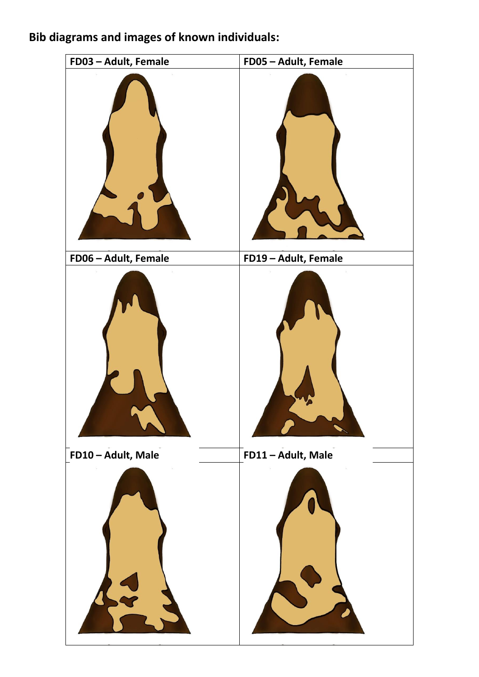## **Bib diagrams and images of known individuals:**

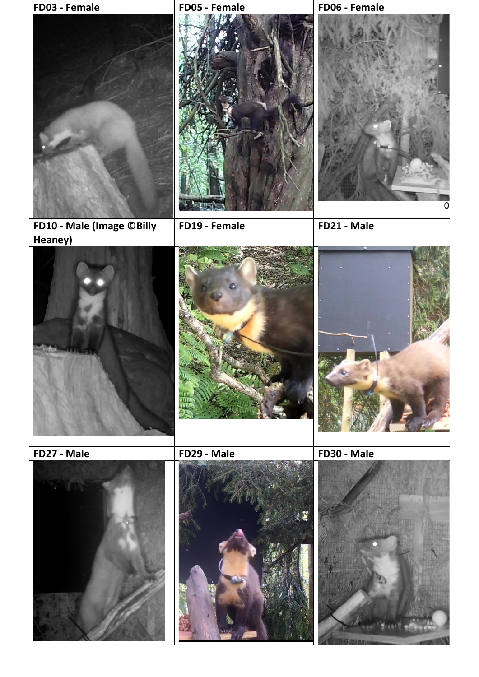